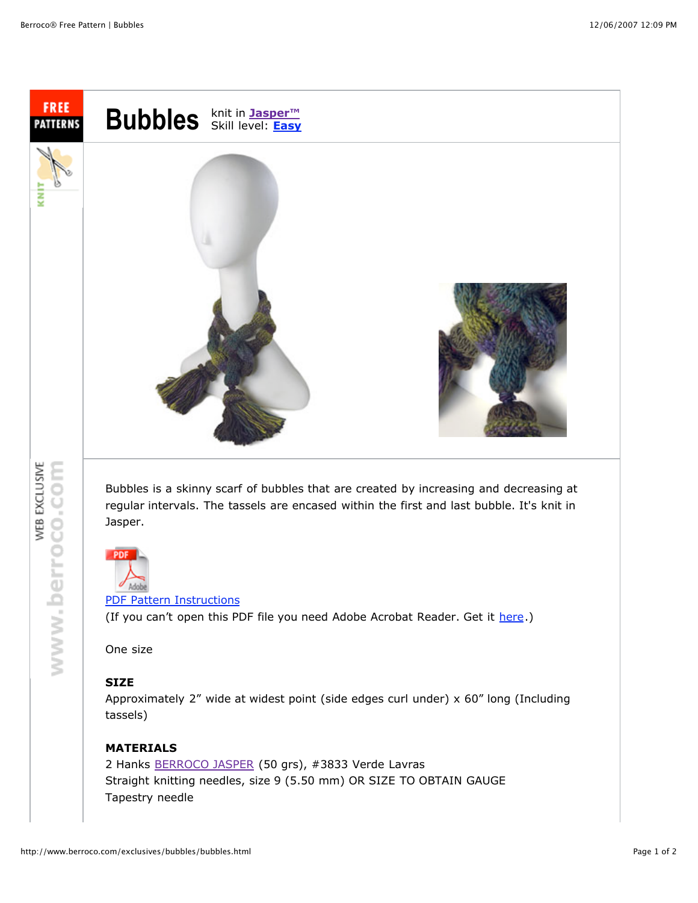